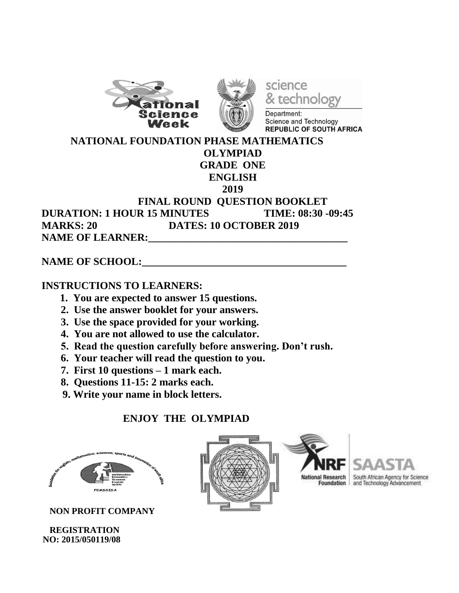



science & technology

Department: Science and Technology **REPUBLIC OF SOUTH AFRICA** 

 **NATIONAL FOUNDATION PHASE MATHEMATICS OLYMPIAD GRADE ONE ENGLISH 2019 FINAL ROUND QUESTION BOOKLET DURATION: 1 HOUR 15 MINUTES TIME: 08:30 -09:45 MARKS: 20 DATES: 10 OCTOBER 2019 NAME OF LEARNER:** 

## NAME OF SCHOOL:

## **INSTRUCTIONS TO LEARNERS:**

- **1. You are expected to answer 15 questions.**
- **2. Use the answer booklet for your answers.**
- **3. Use the space provided for your working.**
- **4. You are not allowed to use the calculator.**
- **5. Read the question carefully before answering. Don't rush.**
- **6. Your teacher will read the question to you.**
- **7. First 10 questions – 1 mark each.**
- **8. Questions 11-15: 2 marks each.**
- **9. Write your name in block letters.**

## **ENJOY THE OLYMPIAD**



 **NON PROFIT COMPANY** 

 **REGISTRATION NO: 2015/050119/08**





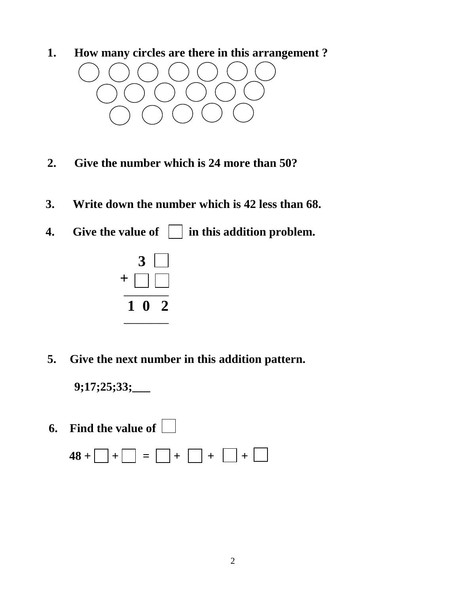**1. How many circles are there in this arrangement ?**



- **2. Give the number which is 24 more than 50?**
- **3. Write down the number which is 42 less than 68.**
- **4.** Give the value of  $\Box$  in this addition problem.



**5. Give the next number in this addition pattern.**

**9;17;25;33;\_\_\_**

 **6. Find the value of** 

 $48 + \Box + \Box = \Box + \Box + \Box + \Box$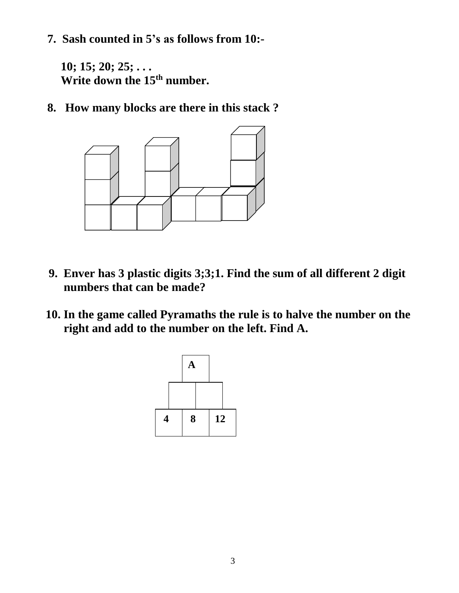**7. Sash counted in 5's as follows from 10:-**

**10; 15; 20; 25; . . . Write down the 15th number.**

**8. How many blocks are there in this stack ?**



- **9. Enver has 3 plastic digits 3;3;1. Find the sum of all different 2 digit numbers that can be made?**
- **10. In the game called Pyramaths the rule is to halve the number on the right and add to the number on the left. Find A.**